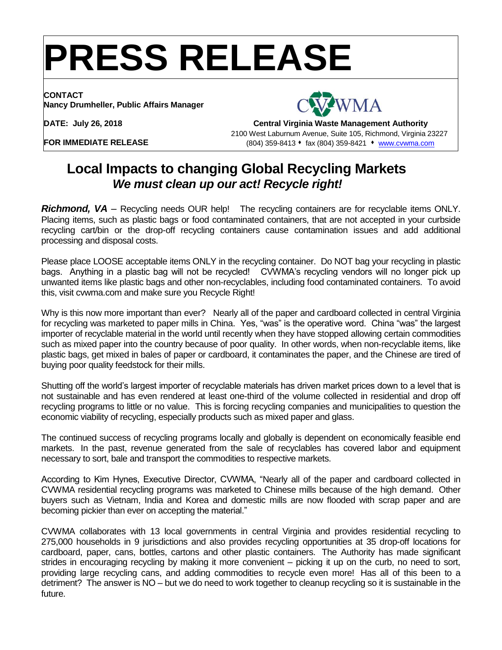## **PRESS RELEASE**

**CONTACT Nancy Drumheller, Public Affairs Manager**



**DATE: July 26, 2018**

**Central Virginia Waste Management Authority** 2100 West Laburnum Avenue, Suite 105, Richmond, Virginia 23227 (804) 359-8413 fax (804) 359-8421 [www.cvwma.com](http://www.cvwma.com/)

**FOR IMMEDIATE RELEASE**

## **Local Impacts to changing Global Recycling Markets**   *We must clean up our act! Recycle right!*

*Richmond, VA –* Recycling needs OUR help! The recycling containers are for recyclable items ONLY. Placing items, such as plastic bags or food contaminated containers, that are not accepted in your curbside recycling cart/bin or the drop-off recycling containers cause contamination issues and add additional processing and disposal costs.

Please place LOOSE acceptable items ONLY in the recycling container. Do NOT bag your recycling in plastic bags. Anything in a plastic bag will not be recycled! CVWMA's recycling vendors will no longer pick up unwanted items like plastic bags and other non-recyclables, including food contaminated containers. To avoid this, visit cvwma.com and make sure you Recycle Right!

Why is this now more important than ever? Nearly all of the paper and cardboard collected in central Virginia for recycling was marketed to paper mills in China. Yes, "was" is the operative word. China "was" the largest importer of recyclable material in the world until recently when they have stopped allowing certain commodities such as mixed paper into the country because of poor quality. In other words, when non-recyclable items, like plastic bags, get mixed in bales of paper or cardboard, it contaminates the paper, and the Chinese are tired of buying poor quality feedstock for their mills.

Shutting off the world's largest importer of recyclable materials has driven market prices down to a level that is not sustainable and has even rendered at least one-third of the volume collected in residential and drop off recycling programs to little or no value. This is forcing recycling companies and municipalities to question the economic viability of recycling, especially products such as mixed paper and glass.

The continued success of recycling programs locally and globally is dependent on economically feasible end markets. In the past, revenue generated from the sale of recyclables has covered labor and equipment necessary to sort, bale and transport the commodities to respective markets.

According to Kim Hynes, Executive Director, CVWMA, "Nearly all of the paper and cardboard collected in CVWMA residential recycling programs was marketed to Chinese mills because of the high demand. Other buyers such as Vietnam, India and Korea and domestic mills are now flooded with scrap paper and are becoming pickier than ever on accepting the material."

CVWMA collaborates with 13 local governments in central Virginia and provides residential recycling to 275,000 households in 9 jurisdictions and also provides recycling opportunities at 35 drop-off locations for cardboard, paper, cans, bottles, cartons and other plastic containers. The Authority has made significant strides in encouraging recycling by making it more convenient – picking it up on the curb, no need to sort, providing large recycling cans, and adding commodities to recycle even more! Has all of this been to a detriment? The answer is NO – but we do need to work together to cleanup recycling so it is sustainable in the future.